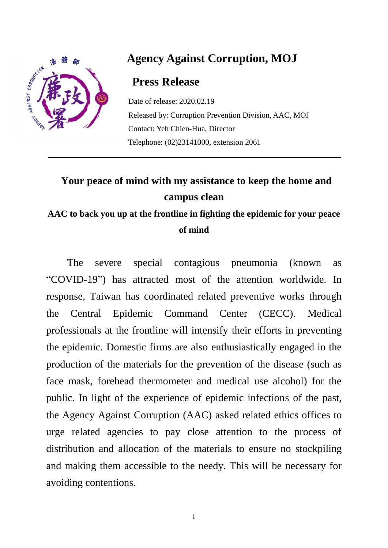

## **Agency Against Corruption, MOJ**

## **Press Release**

Date of release: 2020.02.19 Released by: Corruption Prevention Division, AAC, MOJ Contact: Yeh Chien-Hua, Director Telephone: (02)23141000, extension 2061

## **Your peace of mind with my assistance to keep the home and campus clean**

## **AAC to back you up at the frontline in fighting the epidemic for your peace of mind**

The severe special contagious pneumonia (known as "COVID-19") has attracted most of the attention worldwide. In response, Taiwan has coordinated related preventive works through the Central Epidemic Command Center (CECC). Medical professionals at the frontline will intensify their efforts in preventing the epidemic. Domestic firms are also enthusiastically engaged in the production of the materials for the prevention of the disease (such as face mask, forehead thermometer and medical use alcohol) for the public. In light of the experience of epidemic infections of the past, the Agency Against Corruption (AAC) asked related ethics offices to urge related agencies to pay close attention to the process of distribution and allocation of the materials to ensure no stockpiling and making them accessible to the needy. This will be necessary for avoiding contentions.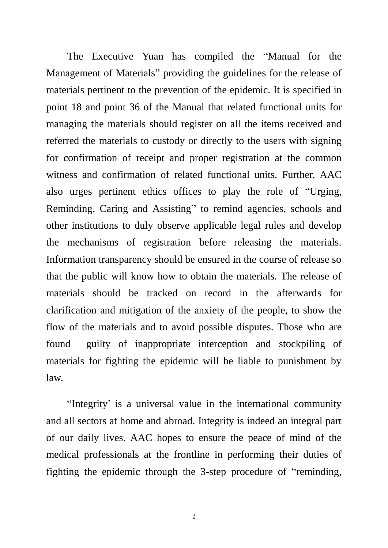The Executive Yuan has compiled the "Manual for the Management of Materials" providing the guidelines for the release of materials pertinent to the prevention of the epidemic. It is specified in point 18 and point 36 of the Manual that related functional units for managing the materials should register on all the items received and referred the materials to custody or directly to the users with signing for confirmation of receipt and proper registration at the common witness and confirmation of related functional units. Further, AAC also urges pertinent ethics offices to play the role of "Urging, Reminding, Caring and Assisting" to remind agencies, schools and other institutions to duly observe applicable legal rules and develop the mechanisms of registration before releasing the materials. Information transparency should be ensured in the course of release so that the public will know how to obtain the materials. The release of materials should be tracked on record in the afterwards for clarification and mitigation of the anxiety of the people, to show the flow of the materials and to avoid possible disputes. Those who are found guilty of inappropriate interception and stockpiling of materials for fighting the epidemic will be liable to punishment by law.

"Integrity' is a universal value in the international community and all sectors at home and abroad. Integrity is indeed an integral part of our daily lives. AAC hopes to ensure the peace of mind of the medical professionals at the frontline in performing their duties of fighting the epidemic through the 3-step procedure of "reminding,

2